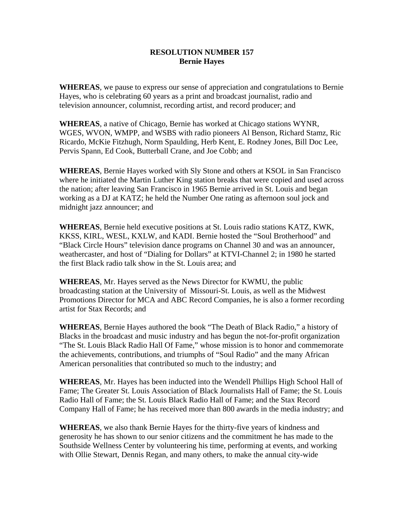## **RESOLUTION NUMBER 157 Bernie Hayes**

**WHEREAS**, we pause to express our sense of appreciation and congratulations to Bernie Hayes, who is celebrating 60 years as a print and broadcast journalist, radio and television announcer, columnist, recording artist, and record producer; and

**WHEREAS**, a native of Chicago, Bernie has worked at Chicago stations WYNR, WGES, WVON, WMPP, and WSBS with radio pioneers Al Benson, Richard Stamz, Ric Ricardo, McKie Fitzhugh, Norm Spaulding, Herb Kent, E. Rodney Jones, Bill Doc Lee, Pervis Spann, Ed Cook, Butterball Crane, and Joe Cobb; and

**WHEREAS**, Bernie Hayes worked with Sly Stone and others at KSOL in San Francisco where he initiated the Martin Luther King station breaks that were copied and used across the nation; after leaving San Francisco in 1965 Bernie arrived in St. Louis and began working as a DJ at KATZ; he held the Number One rating as afternoon soul jock and midnight jazz announcer; and

**WHEREAS**, Bernie held executive positions at St. Louis radio stations KATZ, KWK, KKSS, KIRL, WESL, KXLW, and KADI. Bernie hosted the "Soul Brotherhood" and "Black Circle Hours" television dance programs on Channel 30 and was an announcer, weathercaster, and host of "Dialing for Dollars" at KTVI-Channel 2; in 1980 he started the first Black radio talk show in the St. Louis area; and

**WHEREAS**, Mr. Hayes served as the News Director for KWMU, the public broadcasting station at the University of Missouri-St. Louis, as well as the Midwest Promotions Director for MCA and ABC Record Companies, he is also a former recording artist for Stax Records; and

**WHEREAS**, Bernie Hayes authored the book "The Death of Black Radio," a history of Blacks in the broadcast and music industry and has begun the not-for-profit organization "The St. Louis Black Radio Hall Of Fame," whose mission is to honor and commemorate the achievements, contributions, and triumphs of "Soul Radio" and the many African American personalities that contributed so much to the industry; and

**WHEREAS**, Mr. Hayes has been inducted into the Wendell Phillips High School Hall of Fame; The Greater St. Louis Association of Black Journalists Hall of Fame; the St. Louis Radio Hall of Fame; the St. Louis Black Radio Hall of Fame; and the Stax Record Company Hall of Fame; he has received more than 800 awards in the media industry; and

**WHEREAS**, we also thank Bernie Hayes for the thirty-five years of kindness and generosity he has shown to our senior citizens and the commitment he has made to the Southside Wellness Center by volunteering his time, performing at events, and working with Ollie Stewart, Dennis Regan, and many others, to make the annual city-wide